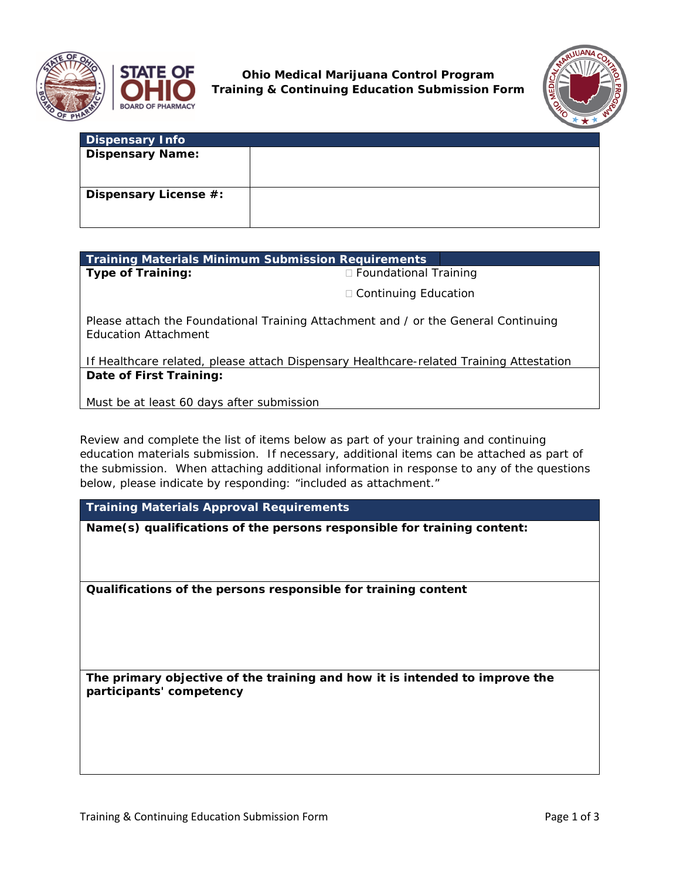



**Ohio Medical Marijuana Control Program Training & Continuing Education Submission Form**



| <b>Dispensary Info</b>  |  |
|-------------------------|--|
| <b>Dispensary Name:</b> |  |
| Dispensary License #:   |  |

| <b>Training Materials Minimum Submission Requirements</b> |                                                                                    |  |
|-----------------------------------------------------------|------------------------------------------------------------------------------------|--|
| Type of Training:                                         | $\Box$ Foundational Training                                                       |  |
|                                                           | $\Box$ Continuing Education                                                        |  |
| <b>Education Attachment</b>                               | Please attach the Foundational Training Attachment and / or the General Continuing |  |

If Healthcare related, please attach Dispensary Healthcare-related Training Attestation **Date of First Training:**

Must be at least 60 days after submission

Review and complete the list of items below as part of your training and continuing education materials submission. If necessary, additional items can be attached as part of the submission. When attaching additional information in response to any of the questions below, please indicate by responding: "included as attachment."

**Training Materials Approval Requirements**

**Name(s) qualifications of the persons responsible for training content:**

**Qualifications of the persons responsible for training content**

**The primary objective of the training and how it is intended to improve the participants' competency**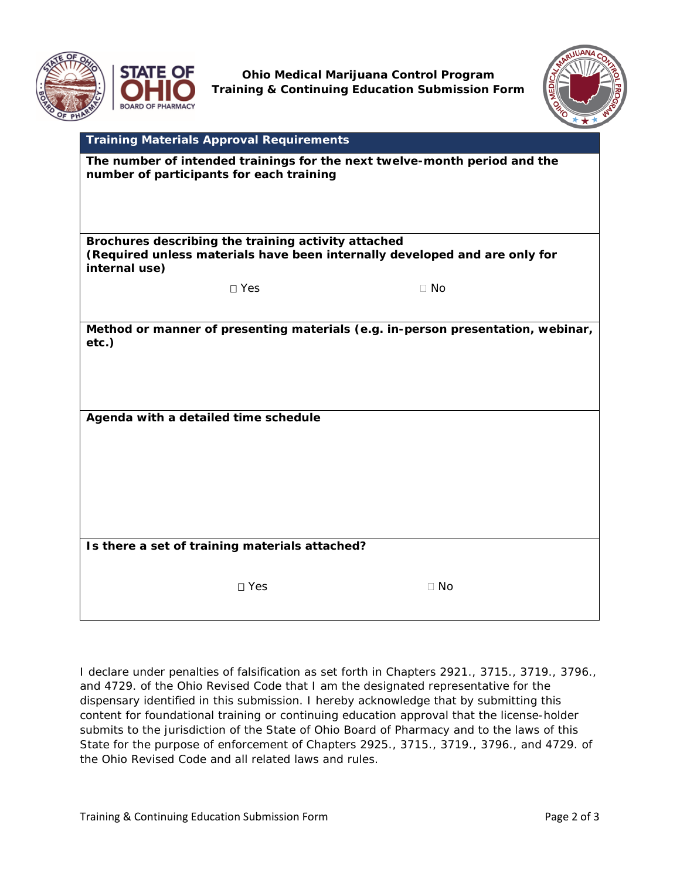



**Ohio Medical Marijuana Control Program Training & Continuing Education Submission Form**



|                                                                                                                                   | <b>Training Materials Approval Requirements</b> |           |  |  |
|-----------------------------------------------------------------------------------------------------------------------------------|-------------------------------------------------|-----------|--|--|
| The number of intended trainings for the next twelve-month period and the<br>number of participants for each training             |                                                 |           |  |  |
|                                                                                                                                   |                                                 |           |  |  |
| Brochures describing the training activity attached<br>(Required unless materials have been internally developed and are only for |                                                 |           |  |  |
| internal use)                                                                                                                     |                                                 |           |  |  |
|                                                                                                                                   | $\square$ Yes                                   | $\Box$ No |  |  |
|                                                                                                                                   |                                                 |           |  |  |
| Method or manner of presenting materials (e.g. in-person presentation, webinar,<br>$etc.$ )                                       |                                                 |           |  |  |
|                                                                                                                                   |                                                 |           |  |  |
|                                                                                                                                   |                                                 |           |  |  |
| Agenda with a detailed time schedule                                                                                              |                                                 |           |  |  |
|                                                                                                                                   |                                                 |           |  |  |
|                                                                                                                                   |                                                 |           |  |  |
|                                                                                                                                   |                                                 |           |  |  |
|                                                                                                                                   |                                                 |           |  |  |
|                                                                                                                                   |                                                 |           |  |  |
| Is there a set of training materials attached?                                                                                    |                                                 |           |  |  |
|                                                                                                                                   |                                                 |           |  |  |
|                                                                                                                                   | □ Yes                                           | $\Box$ No |  |  |
|                                                                                                                                   |                                                 |           |  |  |

*I declare under penalties of falsification as set forth in Chapters 2921., 3715., 3719., 3796., and 4729. of the Ohio Revised Code that I am the designated representative for the dispensary identified in this submission. I hereby acknowledge that by submitting this content for foundational training or continuing education approval that the license-holder submits to the jurisdiction of the State of Ohio Board of Pharmacy and to the laws of this State for the purpose of enforcement of Chapters 2925., 3715., 3719., 3796., and 4729. of the Ohio Revised Code and all related laws and rules.*